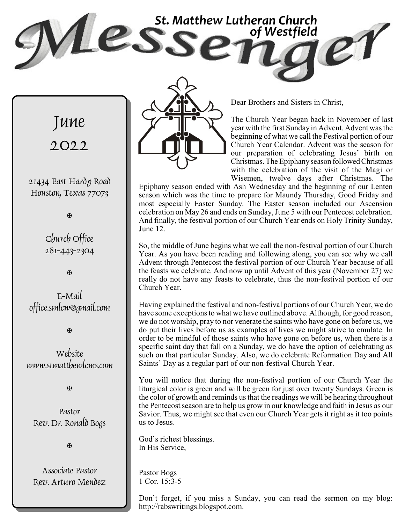**ESS** St. Matthew Lutheran Church *of Westfield*



Dear Brothers and Sisters in Christ,

The Church Year began back in November of last year with the first Sunday in Advent. Advent was the beginning of what we call the Festival portion of our Church Year Calendar. Advent was the season for our preparation of celebrating Jesus' birth on Christmas. The Epiphanyseason followedChristmas with the celebration of the visit of the Magi or Wisemen, twelve days after Christmas. The

Epiphany season ended with Ash Wednesday and the beginning of our Lenten season which was the time to prepare for Maundy Thursday, Good Friday and most especially Easter Sunday. The Easter season included our Ascension celebration on May 26 and ends on Sunday, June 5 with our Pentecost celebration. And finally, the festival portion of our Church Year ends on Holy Trinity Sunday, June 12.

So, the middle of June begins what we call the non-festival portion of our Church Year. As you have been reading and following along, you can see why we call Advent through Pentecost the festival portion of our Church Year because of all the feasts we celebrate. And now up until Advent of this year (November 27) we really do not have any feasts to celebrate, thus the non-festival portion of our Church Year.

Having explained the festival and non-festival portions of our Church Year, we do have some exceptions to what we have outlined above. Although, for good reason, we do not worship, pray to nor venerate the saints who have gone on before us, we do put their lives before us as examples of lives we might strive to emulate. In order to be mindful of those saints who have gone on before us, when there is a specific saint day that fall on a Sunday, we do have the option of celebrating as such on that particular Sunday. Also, we do celebrate Reformation Day and All Saints' Day as a regular part of our non-festival Church Year.

You will notice that during the non-festival portion of our Church Year the liturgical color is green and will be green for just over twenty Sundays. Green is the color of growth and reminds us that the readings we will be hearing throughout the Pentecost season are to help us grow in our knowledge and faith in Jesus as our Savior. Thus, we might see that even our Church Year gets it right as it too points us to Jesus.

God's richest blessings. In His Service,

Pastor Bogs 1 Cor. 15:3-5

Don't forget, if you miss a Sunday, you can read the sermon on my blog: http://rabswritings.blogspot.com.

June 2022

21434 East Hardy Road Houston, Texas 77073

a

Church Office 281-443-2304

**H** 

E-Mail office.smlcw@gmail.com

a

Website www.stmatthewlcms.com

a

Pastor Rev. Dr. Ronald Bogs

a

Associate Pastor Rev. Arturo Mendez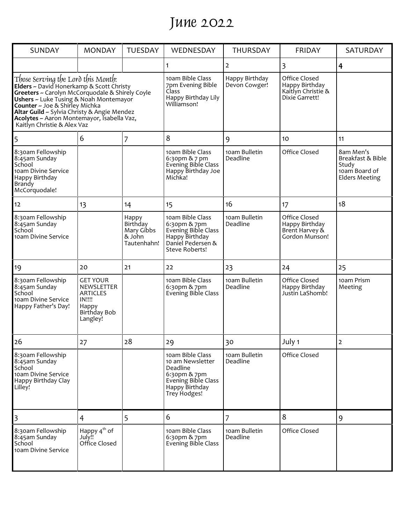# June 2022

| <b>SUNDAY</b>                                                                                                                                                                                                                                                                                                                                                                                       | <b>MONDAY</b>                                                                                          | <b>TUESDAY</b>                                           | WEDNESDAY                                                                                                                 | <b>THURSDAY</b>                 | <b>FRIDAY</b>                                                           | SATURDAY                                                                          |
|-----------------------------------------------------------------------------------------------------------------------------------------------------------------------------------------------------------------------------------------------------------------------------------------------------------------------------------------------------------------------------------------------------|--------------------------------------------------------------------------------------------------------|----------------------------------------------------------|---------------------------------------------------------------------------------------------------------------------------|---------------------------------|-------------------------------------------------------------------------|-----------------------------------------------------------------------------------|
|                                                                                                                                                                                                                                                                                                                                                                                                     |                                                                                                        |                                                          | 1                                                                                                                         | 2                               | 3                                                                       | $\overline{\mathbf{r}}$                                                           |
| Those Serving the Lord this Month:<br>Elders ~ David Honerkamp & Scott Christy<br><b>Elders</b> ~ David Honerkamp & Scott Christy<br>Greeters ~ Carolyn McCorquodale & Shirely Coyle<br>Ushers ~ Luke Tusing & Noah Montemayor<br><b>Counter</b> ~ Joe & Shirley Michka<br>Altar Guild ~ Sylvia Christy & Angie Mendez<br>Acolytes ~ Aaron Montemayor, Isabella Vaz,<br>Kaitlyn Christie & Alex Vaz |                                                                                                        |                                                          | 10am Bible Class<br>7pm Evening Bible<br>Class<br>Happy Birthday Lily<br>Williamson!                                      | Happy Birthday<br>Devon Cowger! | Office Closed<br>Happy Birthday<br>Kaitlyn Christie &<br>Dixie Garrett! |                                                                                   |
| 5                                                                                                                                                                                                                                                                                                                                                                                                   | 6                                                                                                      | 7                                                        | 8                                                                                                                         | 9                               | 10                                                                      | 11                                                                                |
| 8:30am Fellowship<br>8:45am Sunday<br>School<br>10am Divine Service<br>Happy Birthday<br>Brandy<br>McCorquodale!                                                                                                                                                                                                                                                                                    |                                                                                                        |                                                          | 10am Bible Class<br>6:30pm & 7 pm<br>Evening Bible Class<br>Happy Birthday Joe<br>Michka!                                 | 10am Bulletin<br>Deadline       | Office Closed                                                           | 8am Men's<br>Breakfast & Bible<br>Study<br>10am Board of<br><b>Elders Meeting</b> |
| 12                                                                                                                                                                                                                                                                                                                                                                                                  | 13                                                                                                     | 14                                                       | 15                                                                                                                        | 16                              | 17                                                                      | 18                                                                                |
| 8:30am Fellowship<br>8:45am Sunday<br>School<br>10am Divine Service                                                                                                                                                                                                                                                                                                                                 |                                                                                                        | Happy<br>Birthday<br>Mary Gibbs<br>& John<br>Tautenhahn! | 10am Bible Class<br>6:30pm & 7pm<br>Evening Bible Class<br>Happy Birthday<br>Daniel Pedersen &<br>Steve Roberts!          | 10am Bulletin<br>Deadline       | Office Closed<br>Happy Birthday<br>Brent Harvey &<br>Gordon Munson!     |                                                                                   |
| 19                                                                                                                                                                                                                                                                                                                                                                                                  | 20                                                                                                     | 21                                                       | 22                                                                                                                        | 23                              | 24                                                                      | 25                                                                                |
| 8:30am Fellowship<br>8:45am Sunday<br>School<br>10am Divine Service<br>Happy Father's Day!                                                                                                                                                                                                                                                                                                          | <b>GET YOUR</b><br>NEWSLETTER<br><b>ARTICLES</b><br><b>IN!!!!</b><br>Happy<br>Birthday Bob<br>Langley! |                                                          | 10am Bible Class<br>6:30pm & 7pm<br><b>Evening Bible Class</b>                                                            | 10am Bulletin<br>Deadline       | Office Closed<br>Happy Birthday<br>Justin LaShomb!                      | 10am Prism<br>Meeting                                                             |
| 26                                                                                                                                                                                                                                                                                                                                                                                                  | 27                                                                                                     | 28                                                       | 29                                                                                                                        | 30                              | July 1                                                                  | $\overline{2}$                                                                    |
| 8:30am Fellowship<br>8:45am Sunday<br>School<br>10am Divine Service<br>Happy Birthday Clay<br>Lilley!                                                                                                                                                                                                                                                                                               |                                                                                                        |                                                          | 10am Bible Class<br>10 am Newsletter<br>Deadline<br>6:30pm & 7pm<br>Evening Bible Class<br>Happy Birthday<br>Trey Hodges! | 10am Bulletin<br>Deadline       | Office Closed                                                           |                                                                                   |
| $\overline{\mathsf{3}}$                                                                                                                                                                                                                                                                                                                                                                             | 4                                                                                                      | 5                                                        | 6                                                                                                                         | 7                               | 8                                                                       | 9                                                                                 |
| 8:30am Fellowship<br>8:45am Sunday<br>School<br>10am Divine Service                                                                                                                                                                                                                                                                                                                                 | Happy $4^{\text{th}}$ of<br>July!!<br>Office Closed                                                    |                                                          | 10am Bible Class<br>6:30pm & 7pm<br>Evening Bible Class                                                                   | 10am Bulletin<br>Deadline       | Office Closed                                                           |                                                                                   |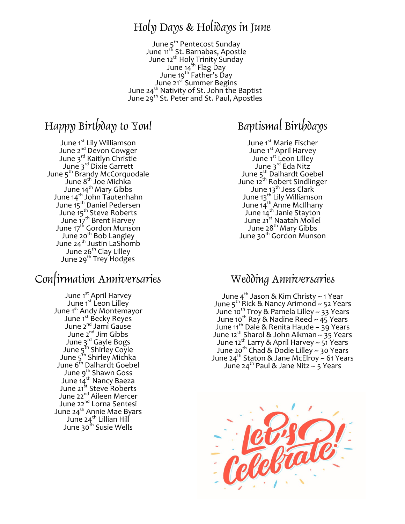### Holy Days & Holidays in June

June 5<sup>th</sup> Pentecost Sunday June 11<sup>th</sup> St. Barnabas, Apostle June 12<sup>th</sup> Holy Trinity Sunday June 14<sup>th</sup> Flag Day June 19<sup>th</sup> Father's Day June 21<sup>st</sup> Summer Begins June 24<sup>th</sup> Nativity of St. John the Baptist June 29<sup>th</sup> St. Peter and St. Paul, Apostles

### Happy Birthday to You!

June 1<sup>st</sup> Lily Williamson June 2<sup>nd</sup> Devon Cowger June 3rd Kaitlyn Christie June 3rd Dixie Garrett June 5<sup>th</sup> Brandy McCorquodale June  $8^{th}$  Joe Michka June<sub>.</sub>14<sup>th</sup> Mary Gibbs June 14<sup>th</sup> John Tautenhahn June 15<sup>th</sup> Daniel Pedersen June 15<sup>th</sup> Steve Roberts June 17<sup>th</sup> Brent Harvey June 17<sup>th</sup> Gordon Munson June 20<sup>th</sup> Bob Langley June 24 $^{\rm th}$  Justin LaShomb June 26<sup>th</sup> Clay Lilley June 29<sup>th</sup> Trey Hodges

#### Confirmation Anniversaries

June 1<sup>st</sup> April Harvey June 1<sup>st</sup> Leon Lilley June 1<sup>st</sup> Andy Montemayor June 1<sup>st</sup> Becky Reyes June 2nd Jami Gause June 2<sup>nd</sup> Jim Gibbs June 3<sup>rd</sup> Gayle Bogs June 5<sup>th</sup> Shirley Coyle June 5<sup>th</sup> Shirley Michka June 6<sup>th</sup> Dalhardt Goebel June 9<sup>th</sup> Shawn Goss June 14<sup>th</sup> Nancy Baeza June 21<sup>st</sup> Steve Roberts June 22<sup>nd</sup> Aileen Mercer June 22<sup>nd</sup> Lorna Sentesi June 24<sup>th</sup> Annie Mae Byars June 24<sup>th</sup> Lillian Hill June 30<sup>th</sup> Susie Wells

### Baptismal Birthdays

June 1<sup>st</sup> Marie Fischer June 1<sup>st</sup> April Harvey June 1<sup>st</sup> Leon Lilley June 3<sup>rd</sup> Eda Nitz June 5<sup>th</sup> Dalhardt Goebel June 12<sup>th</sup> Robert Sindlinger June 13<sup>th</sup> Jess Clark June 13<sup>th</sup> Lily Williamson June 14<sup>th</sup> Anne McIlhany June 14<sup>th</sup> Janie Stayton June 21<sup>st</sup> Naatah Mollel June 28<sup>th</sup> Mary Gibbs June 30<sup>th</sup> Gordon Munson

#### Wedding Anniversaries

June 4<sup>th</sup> Jason & Kim Christy ~ 1 Year June 5<sup>th</sup> Rick & Nancy Arimond ~ 52 Years June 10<sup>th</sup> Troy & Pamela Lilley ~ 33 Years June 10<sup>th</sup> Ray & Nadine Reed ~ 45 Years June 11<sup>th</sup> Dale & Renita Haude ~ 39 Years June 12th Sharol & John Aikman ~ 35 Years June 12<sup>th</sup> Larry & April Harvey ~ 51 Years June 20<sup>th</sup> Chad & Dodie Lilley ~ 30 Years June 24<sup>th</sup> Staton & Jane McElroy ~ 61 Years June 24<sup>th</sup> Paul & Jane Nitz  $\sim$  5 Years

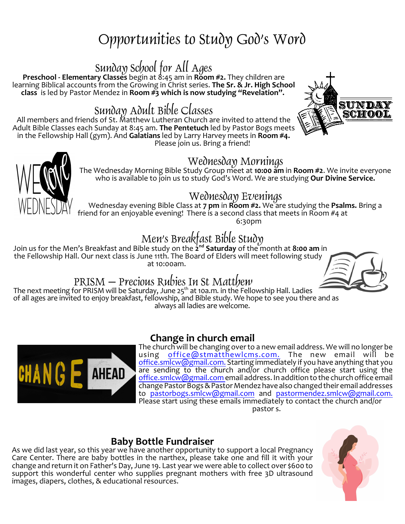# Opportunities to Study God's Word

### Sunday School for All Ages

**Preschool - Elementary Classes** begin at 8:45 am in **Room #2.** They children are learning Biblical accounts from the Growing in Christ series. **The Sr. & Jr. High School class** is led by Pastor Mendez in **Room #3 which is now studying "Revelation".** 

### Sunday Adult Bible Classes

All members and friends of St. Matthew Lutheran Church are invited to attend the Adult Bible Classes each Sunday at 8:45 am. **The Pentetuch** led by Pastor Bogs meets in the Fellowship Hall (gym). And **Galatians** led by Larry Harvey meets in **Room #4.** Please join us. Bring a friend!





#### Wednesday Mornings

The Wednesday Morning Bible Study Group meet at **10:00 am** in **Room #2**. We invite everyone who is available to join us to study God's Word. We are studying **Our Divine Service.**

#### Wednesday Evenings

Wednesday evening Bible Class at **7 pm** in **Room #2.** We are studying the **Psalms.** Bring a friend for an enjoyable evening! There is a second class that meets in Room #4 at 6:30pm

## Men's Breakfast Bible Study

Join us for the Men's Breakfast and Bible study on the **2 nd Saturday** of the month at **8:00 am** in the Fellowship Hall. Our next class is June 11th. The Board of Elders will meet following study at 10:00am.



#### PRISM – Precious Rubies In St Matthew

The next meeting for PRISM will be Saturday, June 25<sup>th</sup> at 10a.m. in the Fellowship Hall. Ladies of all ages are invited to enjoy breakfast, fellowship, and Bible study. We hope to see you there and as always all ladies are welcome.



#### **Change in church email**

The church will be changing overto a new email address. We will no longer be using [office@stmatthewlcms.com.](mailto:office@stmatthewlcms.com.) The new email will be [office.smlcw@gmail.com.](mailto:stmatthewwestfield@gmail.com.) Starting immediately if you have anything that you are sending to the church and/or church office please start using the [office.smlcw@gmail.com](mailto:stmatthewwestfield@gmail.com) email address. In addition to the church office email change Pastor Bogs & Pastor Mendez have also changed their email addresses to [pastorbogs.smlcw@gmail.com](mailto:pastorbogs.smlcw@gmail.com) and [pastormendez.smlcw@gmail.com.](mailto:pastormendez.smlcw@gmail.com.) Please start using these emails immediately to contact the church and/or pastor s.

#### **Baby Bottle Fundraiser**

As we did last year, so this year we have another opportunity to support a local Pregnancy Care Center. There are baby bottles in the narthex, please take one and fill it with your change and return it on Father's Day, June 19. Last year we were able to collect over \$600 to support this wonderful center who supplies pregnant mothers with free 3D ultrasound images, diapers, clothes, & educational resources.